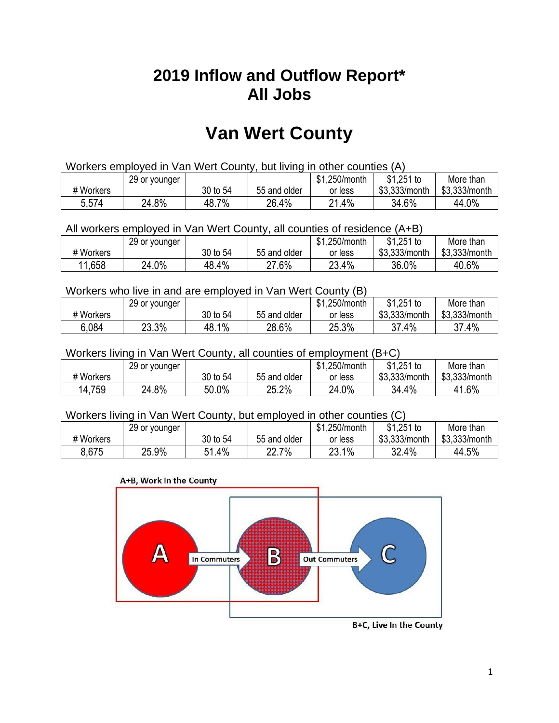## **2019 Inflow and Outflow Report\* All Jobs**

# **Van Wert County**

| Workers employed in Van Wert County, but living in other counties (A) |                                                            |          |              |         |               |               |  |  |  |
|-----------------------------------------------------------------------|------------------------------------------------------------|----------|--------------|---------|---------------|---------------|--|--|--|
|                                                                       | $$1,251$ to<br>\$1,250/month<br>More than<br>29 or younger |          |              |         |               |               |  |  |  |
| # Workers                                                             |                                                            | 30 to 54 | 55 and older | or less | \$3.333/month | \$3,333/month |  |  |  |
| 5,574                                                                 | 24.8%                                                      | 48.7%    | 26.4%        | 21.4%   | 34.6%         | 44.0%         |  |  |  |

All workers employed in Van Wert County, all counties of residence (A+B)

|           | 29 or younger |          |              | \$1,250/month | \$1,251 to    | More than     |
|-----------|---------------|----------|--------------|---------------|---------------|---------------|
| # Workers |               | 30 to 54 | 55 and older | or less       | \$3,333/month | \$3,333/month |
| 11,658    | 24.0%         | 48.4%    | 27.6%        | 23.4%         | 36.0%         | 40.6%         |

#### Workers who live in and are employed in Van Wert County (B)

|           | 29 or younger |               |              | \$1,250/month | $$1,251$ to   | More than     |
|-----------|---------------|---------------|--------------|---------------|---------------|---------------|
| # Workers |               | 30 to 54      | 55 and older | or less       | \$3,333/month | \$3,333/month |
| 6.084     | 23.3%         | $1\%$<br>48.1 | 28.6%        | 25.3%         | 37.4%         | 37.4%         |

#### Workers living in Van Wert County, all counties of employment (B+C)

|           | 29 or younger |          |              | \$1,250/month | \$1,251 to    | More than     |
|-----------|---------------|----------|--------------|---------------|---------------|---------------|
| # Workers |               | 30 to 54 | 55 and older | or less       | \$3,333/month | \$3,333/month |
| 14,759    | 24.8%         | 50.0%    | 25.2%        | 24.0%         | 34.4%         | 41.6%         |

#### Workers living in Van Wert County, but employed in other counties (C)

|           | 29 or younger |             |                  | \$1,250/month | \$1,251 to    | More than     |
|-----------|---------------|-------------|------------------|---------------|---------------|---------------|
| # Workers |               | 30 to 54    | 55 and older     | or less       | \$3,333/month | \$3,333/month |
| 8,675     | 25.9%         | ı.4%<br>E 1 | 7%<br>າາ<br>22.I | 23.1%         | 32.4%         | 44.5%         |





B+C, Live In the County